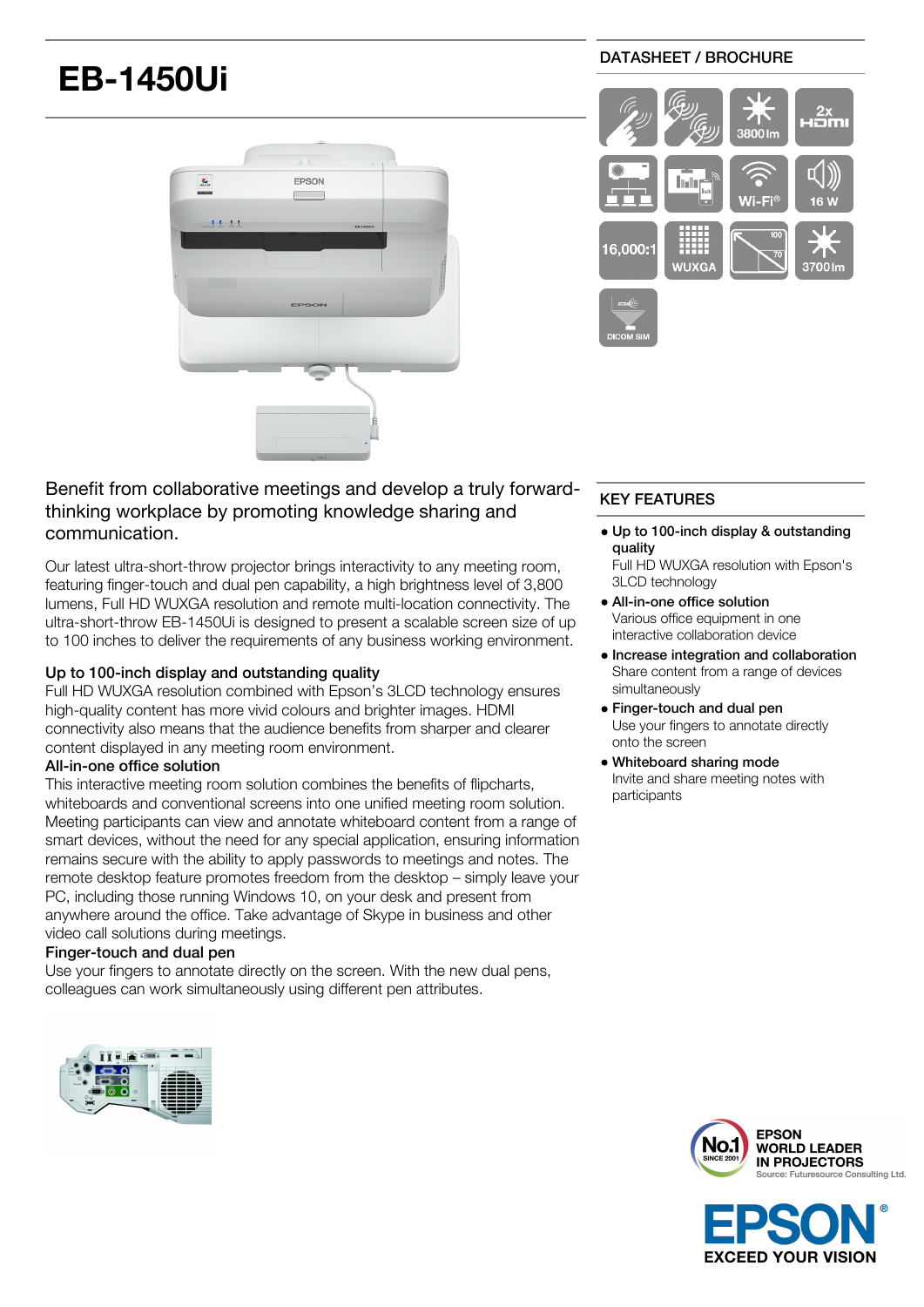# **EB-1450Ui**



### DATASHEET / BROCHURE



# Benefit from collaborative meetings and develop a truly forwardthinking workplace by promoting knowledge sharing and communication.

Our latest ultra-short-throw projector brings interactivity to any meeting room, featuring finger-touch and dual pen capability, a high brightness level of 3,800 lumens, Full HD WUXGA resolution and remote multi-location connectivity. The ultra-short-throw EB-1450Ui is designed to present a scalable screen size of up to 100 inches to deliver the requirements of any business working environment.

#### Up to 100-inch display and outstanding quality

Full HD WUXGA resolution combined with Epson's 3LCD technology ensures high-quality content has more vivid colours and brighter images. HDMI connectivity also means that the audience benefits from sharper and clearer content displayed in any meeting room environment.

#### All-in-one office solution

This interactive meeting room solution combines the benefits of flipcharts, whiteboards and conventional screens into one unified meeting room solution. Meeting participants can view and annotate whiteboard content from a range of smart devices, without the need for any special application, ensuring information remains secure with the ability to apply passwords to meetings and notes. The remote desktop feature promotes freedom from the desktop – simply leave your PC, including those running Windows 10, on your desk and present from anywhere around the office. Take advantage of Skype in business and other video call solutions during meetings.

#### Finger-touch and dual pen

Use your fingers to annotate directly on the screen. With the new dual pens, colleagues can work simultaneously using different pen attributes.

## KEY FEATURES

- Up to 100-inch display & outstanding quality
	- Full HD WUXGA resolution with Epson's 3LCD technology
- All-in-one office solution Various office equipment in one interactive collaboration device
- Increase integration and collaboration Share content from a range of devices simultaneously
- Finger-touch and dual pen Use your fingers to annotate directly onto the screen
- Whiteboard sharing mode Invite and share meeting notes with participants





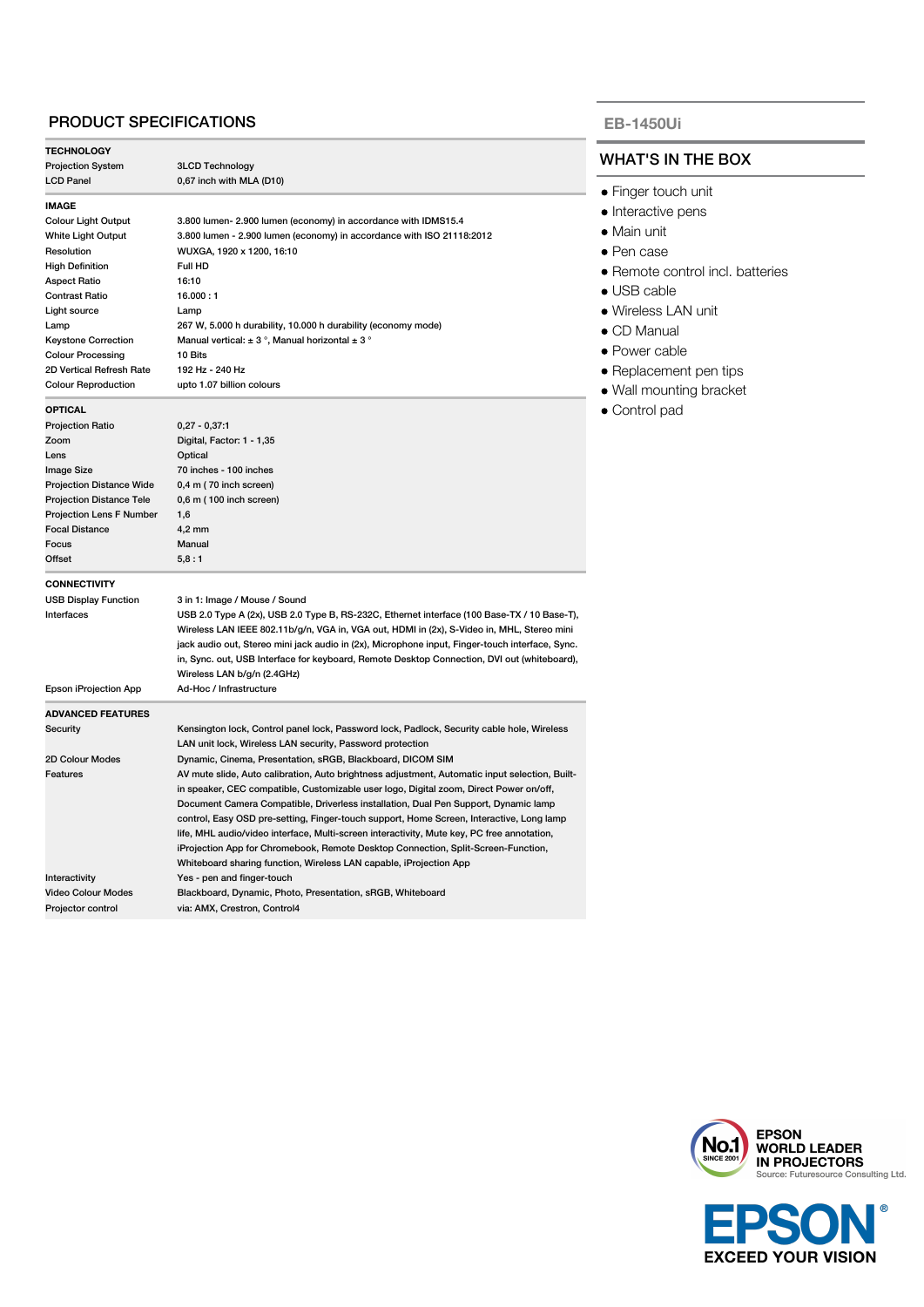## PRODUCT SPECIFICATIONS

| <b>TECHNOLOGY</b>               |                                                                                                 |  |  |  |  |
|---------------------------------|-------------------------------------------------------------------------------------------------|--|--|--|--|
| <b>Projection System</b>        | <b>3LCD Technology</b>                                                                          |  |  |  |  |
| <b>LCD Panel</b>                | 0,67 inch with MLA (D10)                                                                        |  |  |  |  |
| <b>IMAGE</b>                    |                                                                                                 |  |  |  |  |
| <b>Colour Light Output</b>      | 3.800 lumen- 2.900 lumen (economy) in accordance with IDMS15.4                                  |  |  |  |  |
| White Light Output              | 3.800 lumen - 2.900 lumen (economy) in accordance with ISO 21118:2012                           |  |  |  |  |
| Resolution                      | WUXGA, 1920 x 1200, 16:10                                                                       |  |  |  |  |
| <b>High Definition</b>          | Full HD                                                                                         |  |  |  |  |
| <b>Aspect Ratio</b>             | 16:10                                                                                           |  |  |  |  |
| <b>Contrast Ratio</b>           | 16.000:1                                                                                        |  |  |  |  |
| Light source                    | Lamp                                                                                            |  |  |  |  |
| Lamp                            | 267 W, 5.000 h durability, 10.000 h durability (economy mode)                                   |  |  |  |  |
| <b>Keystone Correction</b>      | Manual vertical: $\pm$ 3°, Manual horizontal $\pm$ 3°                                           |  |  |  |  |
| <b>Colour Processing</b>        | 10 Bits                                                                                         |  |  |  |  |
| 2D Vertical Refresh Rate        | 192 Hz - 240 Hz                                                                                 |  |  |  |  |
| <b>Colour Reproduction</b>      | upto 1.07 billion colours                                                                       |  |  |  |  |
|                                 |                                                                                                 |  |  |  |  |
| <b>OPTICAL</b>                  |                                                                                                 |  |  |  |  |
| <b>Projection Ratio</b>         | $0,27 - 0,37:1$                                                                                 |  |  |  |  |
| Zoom                            | Digital, Factor: 1 - 1,35                                                                       |  |  |  |  |
| Lens                            | Optical                                                                                         |  |  |  |  |
| <b>Image Size</b>               | 70 inches - 100 inches                                                                          |  |  |  |  |
| <b>Projection Distance Wide</b> | 0,4 m (70 inch screen)                                                                          |  |  |  |  |
| <b>Projection Distance Tele</b> | 0,6 m (100 inch screen)                                                                         |  |  |  |  |
| Projection Lens F Number        | 1,6                                                                                             |  |  |  |  |
| <b>Focal Distance</b>           | 4,2 mm                                                                                          |  |  |  |  |
| Focus                           | Manual                                                                                          |  |  |  |  |
| Offset                          | 5,8:1                                                                                           |  |  |  |  |
| <b>CONNECTIVITY</b>             |                                                                                                 |  |  |  |  |
| <b>USB Display Function</b>     | 3 in 1: Image / Mouse / Sound                                                                   |  |  |  |  |
| Interfaces                      | USB 2.0 Type A (2x), USB 2.0 Type B, RS-232C, Ethernet interface (100 Base-TX / 10 Base-T),     |  |  |  |  |
|                                 | Wireless LAN IEEE 802.11b/g/n, VGA in, VGA out, HDMI in (2x), S-Video in, MHL, Stereo mini      |  |  |  |  |
|                                 | jack audio out, Stereo mini jack audio in (2x), Microphone input, Finger-touch interface, Sync. |  |  |  |  |
|                                 | in, Sync. out, USB Interface for keyboard, Remote Desktop Connection, DVI out (whiteboard),     |  |  |  |  |
|                                 | Wireless LAN b/g/n (2.4GHz)                                                                     |  |  |  |  |
| Epson iProjection App           | Ad-Hoc / Infrastructure                                                                         |  |  |  |  |
|                                 |                                                                                                 |  |  |  |  |
| <b>ADVANCED FEATURES</b>        |                                                                                                 |  |  |  |  |
| Security                        | Kensington lock, Control panel lock, Password lock, Padlock, Security cable hole, Wireless      |  |  |  |  |
|                                 | LAN unit lock, Wireless LAN security, Password protection                                       |  |  |  |  |
| 2D Colour Modes                 | Dynamic, Cinema, Presentation, sRGB, Blackboard, DICOM SIM                                      |  |  |  |  |
| Features                        | AV mute slide, Auto calibration, Auto brightness adjustment, Automatic input selection, Built-  |  |  |  |  |
|                                 | in speaker, CEC compatible, Customizable user logo, Digital zoom, Direct Power on/off,          |  |  |  |  |
|                                 | Document Camera Compatible, Driverless installation, Dual Pen Support, Dynamic lamp             |  |  |  |  |
|                                 | control, Easy OSD pre-setting, Finger-touch support, Home Screen, Interactive, Long lamp        |  |  |  |  |
|                                 | life, MHL audio/video interface, Multi-screen interactivity, Mute key, PC free annotation,      |  |  |  |  |
|                                 | iProjection App for Chromebook, Remote Desktop Connection, Split-Screen-Function,               |  |  |  |  |
|                                 | Whiteboard sharing function, Wireless LAN capable, iProjection App                              |  |  |  |  |
|                                 |                                                                                                 |  |  |  |  |
| Interactivity                   | Yes - pen and finger-touch                                                                      |  |  |  |  |
| <b>Video Colour Modes</b>       | Blackboard, Dynamic, Photo, Presentation, sRGB, Whiteboard                                      |  |  |  |  |

#### **EB-1450Ui**

## WHAT'S IN THE BOX

- Finger touch unit
- Interactive pens
- Main unit
- Pen case
- Remote control incl. batteries
- USB cable
- Wireless LAN unit
- CD Manual
- Power cable
- **Replacement pen tips**
- Wall mounting bracket
- Control pad



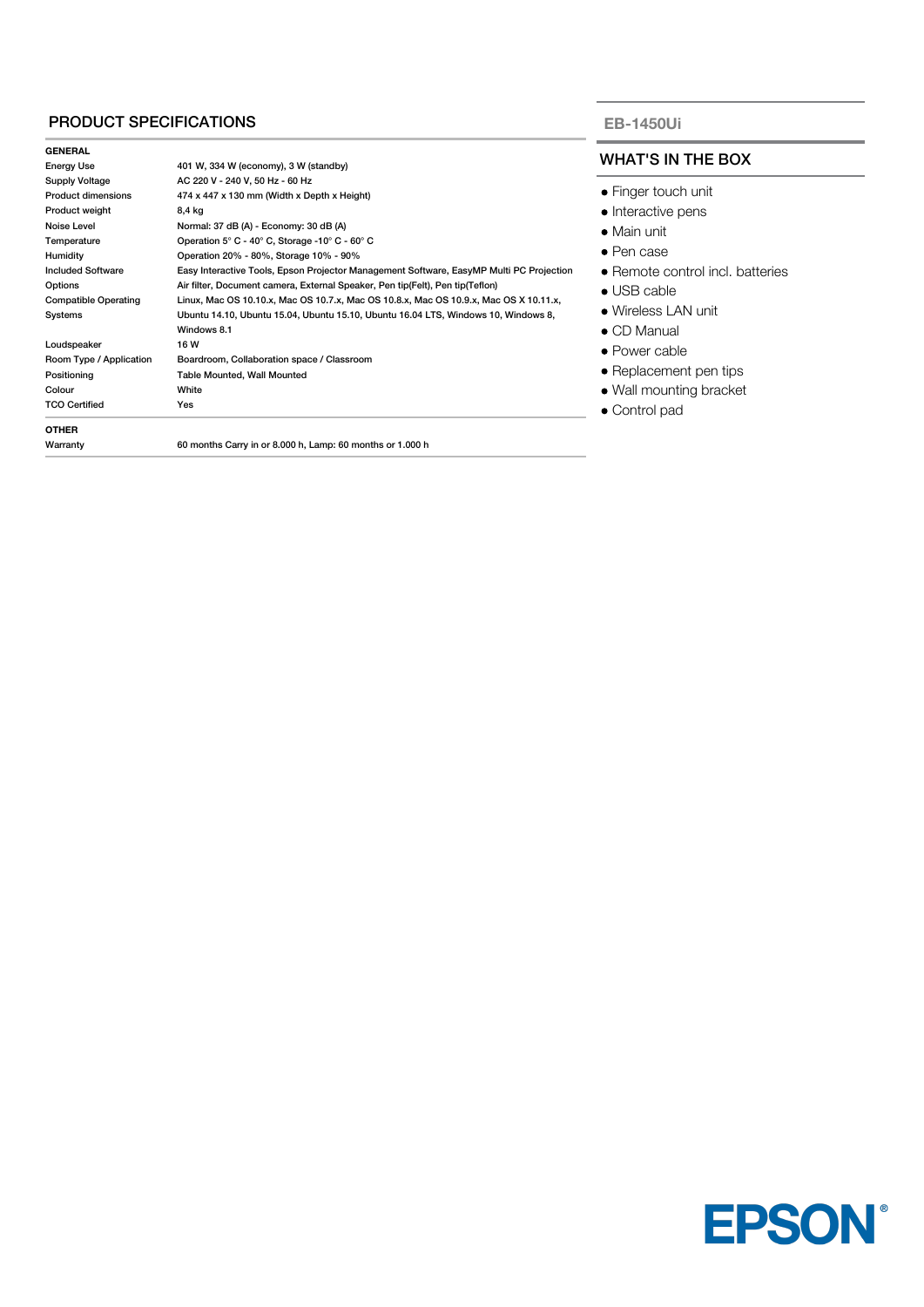## PRODUCT SPECIFICATIONS

| ۰.<br>۰.<br>٠<br>× |  |  |  |  |  |  |  |
|--------------------|--|--|--|--|--|--|--|
|--------------------|--|--|--|--|--|--|--|

| <b>GENERAL</b>                                                                                                       |                                                                                         | WН            |  |  |  |
|----------------------------------------------------------------------------------------------------------------------|-----------------------------------------------------------------------------------------|---------------|--|--|--|
| <b>Energy Use</b>                                                                                                    | 401 W, 334 W (economy), 3 W (standby)                                                   |               |  |  |  |
| Supply Voltage                                                                                                       | AC 220 V - 240 V, 50 Hz - 60 Hz                                                         |               |  |  |  |
| <b>Product dimensions</b>                                                                                            | 474 x 447 x 130 mm (Width x Depth x Height)                                             |               |  |  |  |
| Product weight                                                                                                       | 8.4 ka                                                                                  | $\bullet$ Int |  |  |  |
| Noise Level                                                                                                          | Normal: 37 dB (A) - Economy: 30 dB (A)                                                  | $\bullet$ M   |  |  |  |
| Temperature                                                                                                          | Operation 5° C - 40° C, Storage -10° C - 60° C                                          |               |  |  |  |
| Humidity                                                                                                             | Operation 20% - 80%, Storage 10% - 90%                                                  | $\bullet$ Pe  |  |  |  |
| <b>Included Software</b>                                                                                             | Easy Interactive Tools, Epson Projector Management Software, EasyMP Multi PC Projection |               |  |  |  |
| Options<br>Air filter, Document camera, External Speaker, Pen tip(Felt), Pen tip(Teflon)                             |                                                                                         |               |  |  |  |
| <b>Compatible Operating</b><br>Linux, Mac OS 10.10.x, Mac OS 10.7.x, Mac OS 10.8.x, Mac OS 10.9.x, Mac OS X 10.11.x, |                                                                                         | $\bullet$ US  |  |  |  |
| Systems                                                                                                              | Ubuntu 14.10, Ubuntu 15.04, Ubuntu 15.10, Ubuntu 16.04 LTS, Windows 10, Windows 8,      | $\bullet$ W   |  |  |  |
|                                                                                                                      | Windows 8.1                                                                             | $\bullet$ C[  |  |  |  |
| Loudspeaker                                                                                                          | 16W                                                                                     | $\bullet$ Po  |  |  |  |
| Room Type / Application                                                                                              | Boardroom, Collaboration space / Classroom<br>$\bullet$ Re                              |               |  |  |  |
| Positioning                                                                                                          | <b>Table Mounted, Wall Mounted</b>                                                      |               |  |  |  |
| Colour                                                                                                               | $\bullet$ W<br>White                                                                    |               |  |  |  |
| <b>TCO Certified</b><br>Yes                                                                                          |                                                                                         |               |  |  |  |
| <b>OTHER</b>                                                                                                         |                                                                                         |               |  |  |  |
| Warranty                                                                                                             | 60 months Carry in or 8.000 h, Lamp: 60 months or 1.000 h                               |               |  |  |  |

## **HAT'S IN THE BOX**

- nger touch unit
- teractive pens
- lain unit
- en case
- emote control incl. batteries
- SB cable
- Wireless LAN unit
- D Manual
- ower cable
- eplacement pen tips
- /all mounting bracket
- ontrol pad